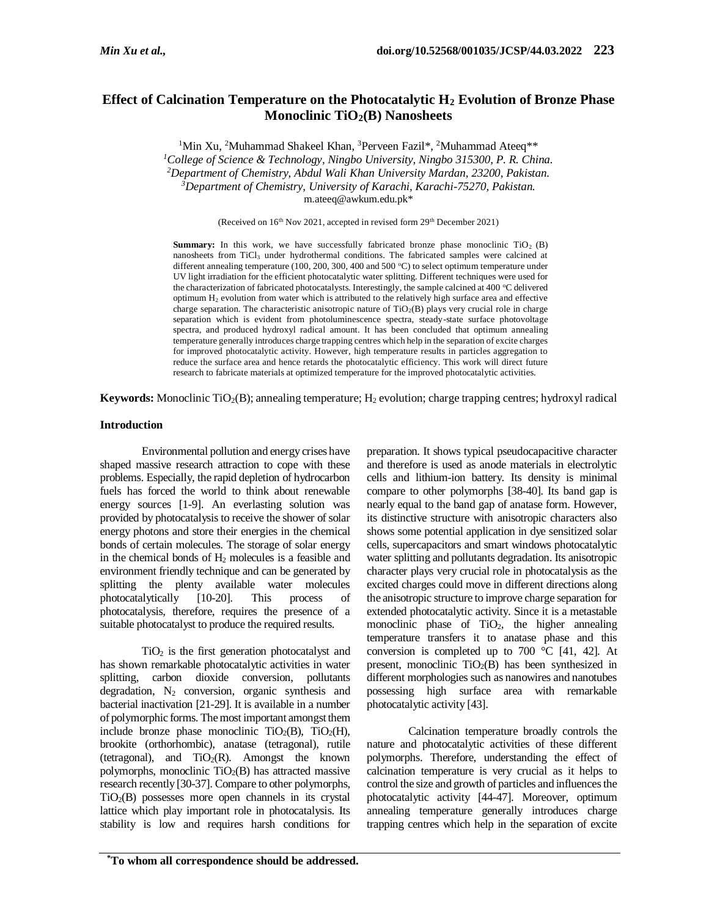# **Effect of Calcination Temperature on the Photocatalytic H<sup>2</sup> Evolution of Bronze Phase Monoclinic TiO2(B) Nanosheets**

<sup>1</sup>Min Xu, <sup>2</sup>Muhammad Shakeel Khan, <sup>3</sup>Perveen Fazil\*, <sup>2</sup>Muhammad Ateeq\*\* *<sup>1</sup>College of Science & Technology, Ningbo University, Ningbo 315300, P. R. China. <sup>2</sup>Department of Chemistry, Abdul Wali Khan University Mardan, 23200, Pakistan. <sup>3</sup>Department of Chemistry, University of Karachi, Karachi-75270, Pakistan.* m.ateeq@awkum.edu.pk\*

(Received on 16<sup>th</sup> Nov 2021, accepted in revised form 29<sup>th</sup> December 2021)

**Summary:** In this work, we have successfully fabricated bronze phase monoclinic  $TiO<sub>2</sub>$  (B) nanosheets from TiCl<sub>3</sub> under hydrothermal conditions. The fabricated samples were calcined at different annealing temperature (100, 200, 300, 400 and 500 °C) to select optimum temperature under UV light irradiation for the efficient photocatalytic water splitting. Different techniques were used for the characterization of fabricated photocatalysts. Interestingly, the sample calcined at 400  $\degree$ C delivered optimum  $H_2$  evolution from water which is attributed to the relatively high surface area and effective charge separation. The characteristic anisotropic nature of  $TiO<sub>2</sub>(B)$  plays very crucial role in charge separation which is evident from photoluminescence spectra, steady-state surface photovoltage spectra, and produced hydroxyl radical amount. It has been concluded that optimum annealing temperature generally introduces charge trapping centres which help in the separation of excite charges for improved photocatalytic activity. However, high temperature results in particles aggregation to reduce the surface area and hence retards the photocatalytic efficiency. This work will direct future research to fabricate materials at optimized temperature for the improved photocatalytic activities.

**Keywords:** Monoclinic TiO<sub>2</sub>(B); annealing temperature; H<sub>2</sub> evolution; charge trapping centres; hydroxyl radical

# **Introduction**

Environmental pollution and energy crises have shaped massive research attraction to cope with these problems. Especially, the rapid depletion of hydrocarbon fuels has forced the world to think about renewable energy sources [1-9]. An everlasting solution was provided by photocatalysis to receive the shower of solar energy photons and store their energies in the chemical bonds of certain molecules. The storage of solar energy in the chemical bonds of  $H_2$  molecules is a feasible and environment friendly technique and can be generated by splitting the plenty available water molecules photocatalytically [10-20]. This process of photocatalysis, therefore, requires the presence of a suitable photocatalyst to produce the required results.

 $TiO<sub>2</sub>$  is the first generation photocatalyst and has shown remarkable photocatalytic activities in water splitting, carbon dioxide conversion, pollutants degradation,  $N_2$  conversion, organic synthesis and bacterial inactivation [21-29]. It is available in a number of polymorphic forms. The most important amongst them include bronze phase monoclinic  $TiO<sub>2</sub>(B)$ ,  $TiO<sub>2</sub>(H)$ , brookite (orthorhombic), anatase (tetragonal), rutile (tetragonal), and  $TiO<sub>2</sub>(R)$ . Amongst the known polymorphs, monoclinic  $TiO<sub>2</sub>(B)$  has attracted massive research recently [30-37]. Compare to other polymorphs,  $TiO<sub>2</sub>(B)$  possesses more open channels in its crystal lattice which play important role in photocatalysis. Its stability is low and requires harsh conditions for

preparation. It shows typical pseudocapacitive character and therefore is used as anode materials in electrolytic cells and lithium-ion battery. Its density is minimal compare to other polymorphs [38-40]. Its band gap is nearly equal to the band gap of anatase form. However, its distinctive structure with anisotropic characters also shows some potential application in dye sensitized solar cells, supercapacitors and smart windows photocatalytic water splitting and pollutants degradation. Its anisotropic character plays very crucial role in photocatalysis as the excited charges could move in different directions along the anisotropic structure to improve charge separation for extended photocatalytic activity. Since it is a metastable monoclinic phase of TiO<sub>2</sub>, the higher annealing temperature transfers it to anatase phase and this conversion is completed up to 700  $\degree$ C [41, 42]. At present, monoclinic  $TiO<sub>2</sub>(B)$  has been synthesized in different morphologies such as nanowires and nanotubes possessing high surface area with remarkable photocatalytic activity [43].

Calcination temperature broadly controls the nature and photocatalytic activities of these different polymorphs. Therefore, understanding the effect of calcination temperature is very crucial as it helps to control the size and growth of particles and influences the photocatalytic activity [44-47]. Moreover, optimum annealing temperature generally introduces charge trapping centres which help in the separation of excite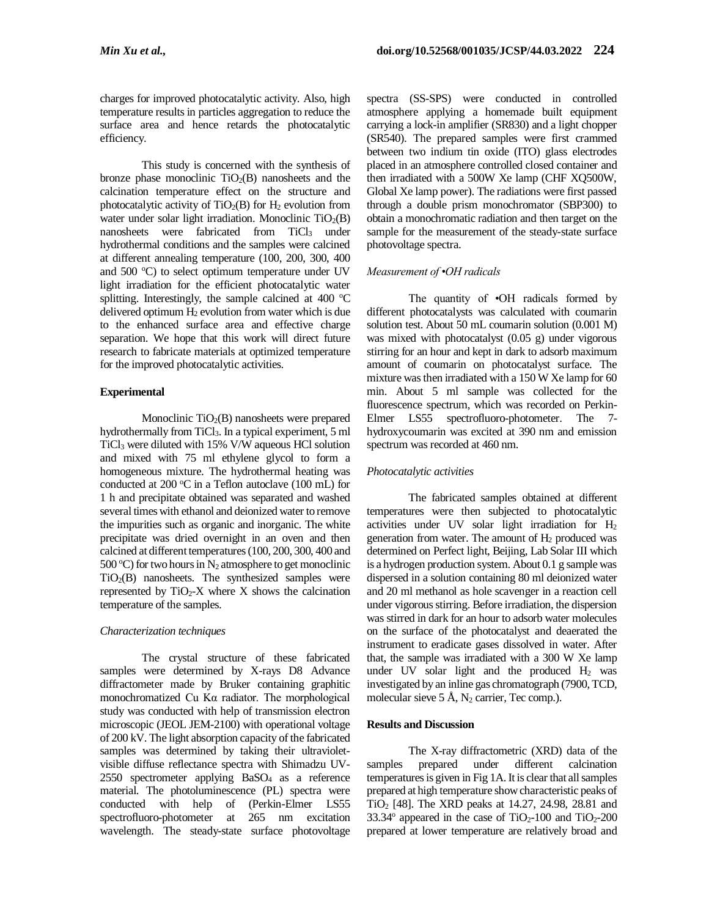charges for improved photocatalytic activity. Also, high temperature results in particles aggregation to reduce the surface area and hence retards the photocatalytic efficiency.

This study is concerned with the synthesis of bronze phase monoclinic  $TiO<sub>2</sub>(B)$  nanosheets and the calcination temperature effect on the structure and photocatalytic activity of  $TiO<sub>2</sub>(B)$  for  $H<sub>2</sub>$  evolution from water under solar light irradiation. Monoclinic  $TiO<sub>2</sub>(B)$ nanosheets were fabricated from TiCl<sub>3</sub> under hydrothermal conditions and the samples were calcined at different annealing temperature (100, 200, 300, 400 and  $500 \degree C$ ) to select optimum temperature under UV light irradiation for the efficient photocatalytic water splitting. Interestingly, the sample calcined at  $400^{\circ}$ C delivered optimum  $H_2$  evolution from water which is due to the enhanced surface area and effective charge separation. We hope that this work will direct future research to fabricate materials at optimized temperature for the improved photocatalytic activities.

## **Experimental**

Monoclinic  $TiO<sub>2</sub>(B)$  nanosheets were prepared hydrothermally from TiCl3. In a typical experiment, 5 ml TiCl<sup>3</sup> were diluted with 15% V/W aqueous HCl solution and mixed with 75 ml ethylene glycol to form a homogeneous mixture. The hydrothermal heating was conducted at 200  $^{\circ}$ C in a Teflon autoclave (100 mL) for 1 h and precipitate obtained was separated and washed several times with ethanol and deionized water to remove the impurities such as organic and inorganic. The white precipitate was dried overnight in an oven and then calcined at different temperatures (100, 200, 300, 400 and 500 °C) for two hours in  $N_2$  atmosphere to get monoclinic  $TiO<sub>2</sub>(B)$  nanosheets. The synthesized samples were represented by  $TiO<sub>2</sub>-X$  where X shows the calcination temperature of the samples.

## *Characterization techniques*

The crystal structure of these fabricated samples were determined by X-rays D8 Advance diffractometer made by Bruker containing graphitic monochromatized Cu Kα radiator. The morphological study was conducted with help of transmission electron microscopic (JEOL JEM-2100) with operational voltage of 200 kV. The light absorption capacity of the fabricated samples was determined by taking their ultravioletvisible diffuse reflectance spectra with Shimadzu UV-2550 spectrometer applying BaSO<sup>4</sup> as a reference material. The photoluminescence (PL) spectra were conducted with help of (Perkin-Elmer LS55 spectrofluoro-photometer at 265 nm excitation wavelength. The steady-state surface photovoltage spectra (SS-SPS) were conducted in controlled atmosphere applying a homemade built equipment carrying a lock-in amplifier (SR830) and a light chopper (SR540). The prepared samples were first crammed between two indium tin oxide (ITO) glass electrodes placed in an atmosphere controlled closed container and then irradiated with a 500W Xe lamp (CHF XQ500W, Global Xe lamp power). The radiations were first passed through a double prism monochromator (SBP300) to obtain a monochromatic radiation and then target on the sample for the measurement of the steady-state surface photovoltage spectra.

# *Measurement of •OH radicals*

The quantity of •OH radicals formed by different photocatalysts was calculated with coumarin solution test. About 50 mL coumarin solution (0.001 M) was mixed with photocatalyst (0.05 g) under vigorous stirring for an hour and kept in dark to adsorb maximum amount of coumarin on photocatalyst surface. The mixture was then irradiated with a 150 W Xe lamp for 60 min. About 5 ml sample was collected for the fluorescence spectrum, which was recorded on Perkin-Elmer LS55 spectrofluoro-photometer. The 7 hydroxycoumarin was excited at 390 nm and emission spectrum was recorded at 460 nm.

## *Photocatalytic activities*

The fabricated samples obtained at different temperatures were then subjected to photocatalytic activities under UV solar light irradiation for H<sup>2</sup> generation from water. The amount of  $H_2$  produced was determined on Perfect light, Beijing, Lab Solar III which is a hydrogen production system. About 0.1 g sample was dispersed in a solution containing 80 ml deionized water and 20 ml methanol as hole scavenger in a reaction cell under vigorous stirring. Before irradiation, the dispersion was stirred in dark for an hour to adsorb water molecules on the surface of the photocatalyst and deaerated the instrument to eradicate gases dissolved in water. After that, the sample was irradiated with a 300 W Xe lamp under UV solar light and the produced  $H_2$  was investigated by an inline gas chromatograph (7900, TCD, molecular sieve 5 Å,  $N_2$  carrier, Tec comp.).

# **Results and Discussion**

The X-ray diffractometric (XRD) data of the samples prepared under different calcination temperatures is given in Fig 1A. It is clear that all samples prepared at high temperature show characteristic peaks of TiO<sub>2</sub> [48]. The XRD peaks at 14.27, 24.98, 28.81 and  $33.34^\circ$  appeared in the case of TiO<sub>2</sub>-100 and TiO<sub>2</sub>-200 prepared at lower temperature are relatively broad and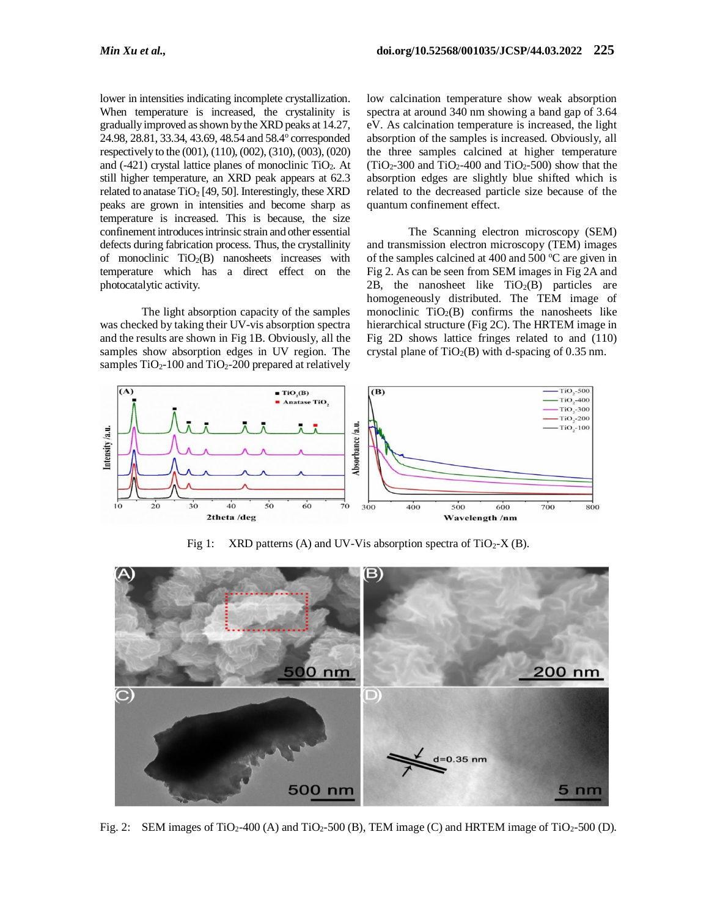lower in intensities indicating incomplete crystallization. When temperature is increased, the crystalinity is gradually improved as shown by the XRD peaks at 14.27, 24.98, 28.81, 33.34, 43.69, 48.54 and 58.4° corresponded respectively to the (001), (110), (002), (310), (003), (020) and (-421) crystal lattice planes of monoclinic TiO2. At still higher temperature, an XRD peak appears at 62.3 related to anatase  $TiO<sub>2</sub>$  [49, 50]. Interestingly, these XRD peaks are grown in intensities and become sharp as temperature is increased. This is because, the size confinement introduces intrinsic strain and other essential defects during fabrication process. Thus, the crystallinity of monoclinic  $TiO<sub>2</sub>(B)$  nanosheets increases with temperature which has a direct effect on the photocatalytic activity.

The light absorption capacity of the samples was checked by taking their UV-vis absorption spectra and the results are shown in Fig 1B. Obviously, all the samples show absorption edges in UV region. The samples  $TiO<sub>2</sub>$ -100 and  $TiO<sub>2</sub>$ -200 prepared at relatively low calcination temperature show weak absorption spectra at around 340 nm showing a band gap of 3.64 eV. As calcination temperature is increased, the light absorption of the samples is increased. Obviously, all the three samples calcined at higher temperature  $(TiO<sub>2</sub>-300$  and  $TiO<sub>2</sub>-400$  and  $TiO<sub>2</sub>-500$ ) show that the absorption edges are slightly blue shifted which is related to the decreased particle size because of the quantum confinement effect.

The Scanning electron microscopy (SEM) and transmission electron microscopy (TEM) images of the samples calcined at 400 and 500  $^{\circ}$ C are given in Fig 2. As can be seen from SEM images in Fig 2A and 2B, the nanosheet like  $TiO<sub>2</sub>(B)$  particles are homogeneously distributed. The TEM image of monoclinic  $TiO<sub>2</sub>(B)$  confirms the nanosheets like hierarchical structure (Fig 2C). The HRTEM image in Fig 2D shows lattice fringes related to and (110) crystal plane of  $TiO<sub>2</sub>(B)$  with d-spacing of 0.35 nm.



Fig 1: XRD patterns (A) and UV-Vis absorption spectra of  $TiO<sub>2</sub>-X$  (B).



Fig. 2: SEM images of TiO<sub>2</sub>-400 (A) and TiO<sub>2</sub>-500 (B), TEM image (C) and HRTEM image of TiO<sub>2</sub>-500 (D).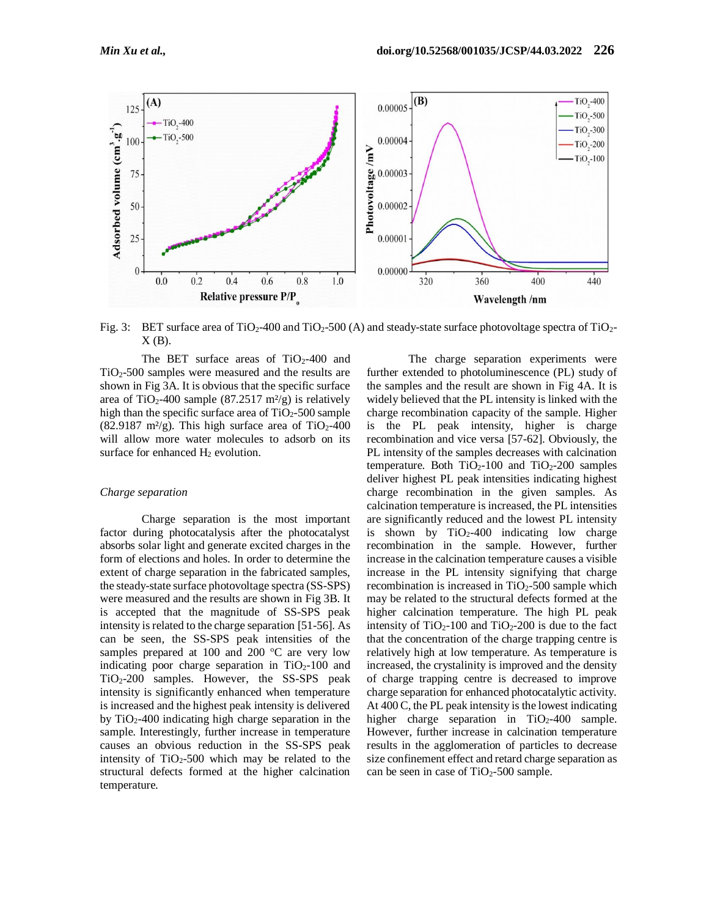

Fig. 3: BET surface area of  $TiO<sub>2</sub>$ -400 and  $TiO<sub>2</sub>$ -500 (A) and steady-state surface photovoltage spectra of  $TiO<sub>2</sub>$ - $X(B)$ .

The BET surface areas of  $TiO<sub>2</sub>$ -400 and TiO2-500 samples were measured and the results are shown in Fig 3A. It is obvious that the specific surface area of TiO<sub>2</sub>-400 sample (87.2517 m<sup>2</sup>/g) is relatively high than the specific surface area of  $TiO<sub>2</sub>$ -500 sample (82.9187 m<sup>2</sup>/g). This high surface area of TiO<sub>2</sub>-400 will allow more water molecules to adsorb on its surface for enhanced H<sub>2</sub> evolution.

#### *Charge separation*

Charge separation is the most important factor during photocatalysis after the photocatalyst absorbs solar light and generate excited charges in the form of elections and holes. In order to determine the extent of charge separation in the fabricated samples, the steady-state surface photovoltage spectra (SS-SPS) were measured and the results are shown in Fig 3B. It is accepted that the magnitude of SS-SPS peak intensity is related to the charge separation [51-56]. As can be seen, the SS-SPS peak intensities of the samples prepared at 100 and 200  $^{\circ}$ C are very low indicating poor charge separation in  $TiO<sub>2</sub>-100$  and TiO2-200 samples. However, the SS-SPS peak intensity is significantly enhanced when temperature is increased and the highest peak intensity is delivered by  $TiO<sub>2</sub>$ -400 indicating high charge separation in the sample. Interestingly, further increase in temperature causes an obvious reduction in the SS-SPS peak intensity of  $TiO<sub>2</sub>$ -500 which may be related to the structural defects formed at the higher calcination temperature.

The charge separation experiments were further extended to photoluminescence (PL) study of the samples and the result are shown in Fig 4A. It is widely believed that the PL intensity is linked with the charge recombination capacity of the sample. Higher is the PL peak intensity, higher is charge recombination and vice versa [57-62]. Obviously, the PL intensity of the samples decreases with calcination temperature. Both  $TiO<sub>2</sub>$ -100 and  $TiO<sub>2</sub>$ -200 samples deliver highest PL peak intensities indicating highest charge recombination in the given samples. As calcination temperature is increased, the PL intensities are significantly reduced and the lowest PL intensity is shown by  $TiO<sub>2</sub>-400$  indicating low charge recombination in the sample. However, further increase in the calcination temperature causes a visible increase in the PL intensity signifying that charge recombination is increased in  $TiO<sub>2</sub>$ -500 sample which may be related to the structural defects formed at the higher calcination temperature. The high PL peak intensity of  $TiO<sub>2</sub>$ -100 and  $TiO<sub>2</sub>$ -200 is due to the fact that the concentration of the charge trapping centre is relatively high at low temperature. As temperature is increased, the crystalinity is improved and the density of charge trapping centre is decreased to improve charge separation for enhanced photocatalytic activity. At 400 C, the PL peak intensity is the lowest indicating higher charge separation in  $TiO<sub>2</sub>$ -400 sample. However, further increase in calcination temperature results in the agglomeration of particles to decrease size confinement effect and retard charge separation as can be seen in case of  $TiO<sub>2</sub>$ -500 sample.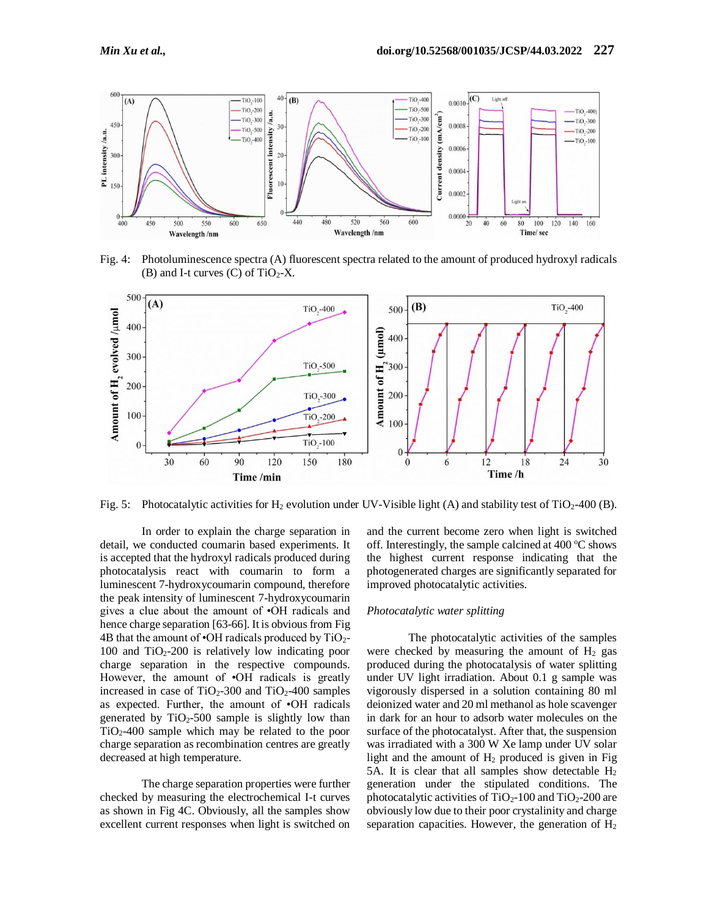

Fig. 4: Photoluminescence spectra (A) fluorescent spectra related to the amount of produced hydroxyl radicals (B) and I-t curves  $(C)$  of TiO<sub>2</sub>-X.



Fig. 5: Photocatalytic activities for H<sub>2</sub> evolution under UV-Visible light (A) and stability test of TiO<sub>2</sub>-400 (B).

In order to explain the charge separation in detail, we conducted coumarin based experiments. It is accepted that the hydroxyl radicals produced during photocatalysis react with coumarin to form a luminescent 7-hydroxycoumarin compound, therefore the peak intensity of luminescent 7-hydroxycoumarin gives a clue about the amount of •OH radicals and hence charge separation [63-66]. It is obvious from Fig. 4B that the amount of  $\cdot$ OH radicals produced by TiO<sub>2</sub>-100 and  $TiO<sub>2</sub>$ -200 is relatively low indicating poor charge separation in the respective compounds. However, the amount of •OH radicals is greatly increased in case of  $TiO<sub>2</sub>$ -300 and  $TiO<sub>2</sub>$ -400 samples as expected. Further, the amount of •OH radicals generated by  $TiO<sub>2</sub>$ -500 sample is slightly low than TiO2-400 sample which may be related to the poor charge separation as recombination centres are greatly decreased at high temperature.

The charge separation properties were further checked by measuring the electrochemical I-t curves as shown in Fig 4C. Obviously, all the samples show excellent current responses when light is switched on

and the current become zero when light is switched off. Interestingly, the sample calcined at  $400^{\circ}$ C shows the highest current response indicating that the photogenerated charges are significantly separated for improved photocatalytic activities.

#### *Photocatalytic water splitting*

The photocatalytic activities of the samples were checked by measuring the amount of  $H_2$  gas produced during the photocatalysis of water splitting under UV light irradiation. About 0.1 g sample was vigorously dispersed in a solution containing 80 ml deionized water and 20 ml methanol as hole scavenger in dark for an hour to adsorb water molecules on the surface of the photocatalyst. After that, the suspension was irradiated with a 300 W Xe lamp under UV solar light and the amount of  $H_2$  produced is given in Fig. 5A. It is clear that all samples show detectable  $H_2$ generation under the stipulated conditions. The photocatalytic activities of  $TiO<sub>2</sub>-100$  and  $TiO<sub>2</sub>-200$  are obviously low due to their poor crystalinity and charge separation capacities. However, the generation of  $H_2$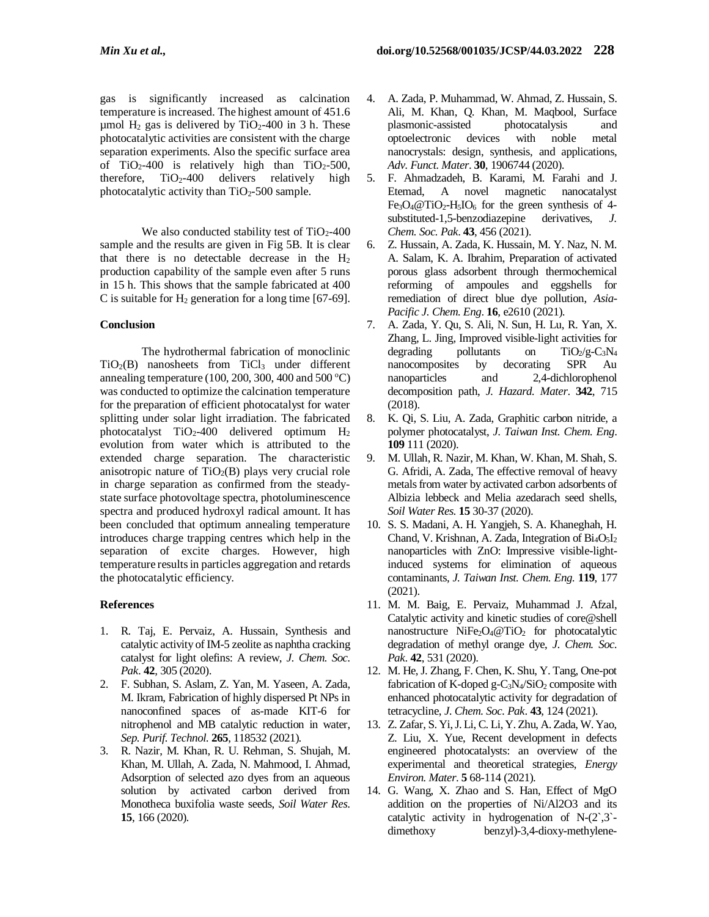gas is significantly increased as calcination temperature is increased. The highest amount of 451.6 umol  $H_2$  gas is delivered by TiO<sub>2</sub>-400 in 3 h. These photocatalytic activities are consistent with the charge separation experiments. Also the specific surface area of TiO<sub>2</sub>-400 is relatively high than TiO<sub>2</sub>-500, therefore,  $TiO<sub>2</sub> - 400$  delivers relatively high photocatalytic activity than  $TiO<sub>2</sub>$ -500 sample.

We also conducted stability test of  $TiO<sub>2</sub>$ -400 sample and the results are given in Fig 5B. It is clear that there is no detectable decrease in the H<sup>2</sup> production capability of the sample even after 5 runs in 15 h. This shows that the sample fabricated at 400 C is suitable for  $H_2$  generation for a long time [67-69].

# **Conclusion**

The hydrothermal fabrication of monoclinic  $TiO<sub>2</sub>(B)$  nanosheets from  $TiCl<sub>3</sub>$  under different annealing temperature (100, 200, 300, 400 and 500  $^{\circ}$ C) was conducted to optimize the calcination temperature for the preparation of efficient photocatalyst for water splitting under solar light irradiation. The fabricated photocatalyst TiO2-400 delivered optimum H<sup>2</sup> evolution from water which is attributed to the extended charge separation. The characteristic anisotropic nature of  $TiO<sub>2</sub>(B)$  plays very crucial role in charge separation as confirmed from the steadystate surface photovoltage spectra, photoluminescence spectra and produced hydroxyl radical amount. It has been concluded that optimum annealing temperature introduces charge trapping centres which help in the separation of excite charges. However, high temperature results in particles aggregation and retards the photocatalytic efficiency.

# **References**

- 1. R. Taj, E. Pervaiz, A. Hussain, Synthesis and catalytic activity of IM-5 zeolite as naphtha cracking catalyst for light olefins: A review, *J. Chem. Soc. Pak*. **42**, 305 (2020).
- 2. F. Subhan, S. Aslam, Z. Yan, M. Yaseen, A. Zada, M. Ikram, Fabrication of highly dispersed Pt NPs in nanoconfined spaces of as-made KIT-6 for nitrophenol and MB catalytic reduction in water, *Sep. Purif. Technol*. **265**, 118532 (2021).
- 3. R. Nazir, M. Khan, R. U. Rehman, S. Shujah, M. Khan, M. Ullah, A. Zada, N. Mahmood, I. Ahmad, Adsorption of selected azo dyes from an aqueous solution by activated carbon derived from Monotheca buxifolia waste seeds, *Soil Water Res*. **15**, 166 (2020).
- 4. A. Zada, P. Muhammad, W. Ahmad, Z. Hussain, S. Ali, M. Khan, Q. Khan, M. Maqbool, Surface plasmonic-assisted photocatalysis and optoelectronic devices with noble metal nanocrystals: design, synthesis, and applications, *Adv. Funct. Mater*. **30**, 1906744 (2020).
- 5. F. Ahmadzadeh, B. Karami, M. Farahi and J. Etemad, A novel magnetic nanocatalyst  $Fe<sub>3</sub>O<sub>4</sub>@TiO<sub>2</sub>-H<sub>5</sub>IO<sub>6</sub>$  for the green synthesis of 4substituted-1,5-benzodiazepine derivatives, *J. Chem. Soc. Pak*. **43**, 456 (2021).
- 6. Z. Hussain, A. Zada, K. Hussain, M. Y. Naz, N. M. A. Salam, K. A. Ibrahim, Preparation of activated porous glass adsorbent through thermochemical reforming of ampoules and eggshells for remediation of direct blue dye pollution, *Asia-Pacific J. Chem. Eng*. **16**, e2610 (2021).
- 7. A. Zada*,* Y. Qu, S. Ali, N. Sun, H. Lu, R. Yan, X. Zhang, L. Jing, Improved visible-light activities for degrading pollutants on  $TiO_2/g-C_3N_4$ nanocomposites by decorating SPR Au nanoparticles and 2,4-dichlorophenol decomposition path, *J. Hazard. Mater*. **342**, 715 (2018).
- 8. K. Qi, S. Liu, A. Zada, Graphitic carbon nitride, a polymer photocatalyst, *J. Taiwan Inst. Chem. Eng*. **109** 111 (2020).
- 9. M. Ullah, R. Nazir, M. Khan, W. Khan, M. Shah, S. G. Afridi, A. Zada, The effective removal of heavy metals from water by activated carbon adsorbents of Albizia lebbeck and Melia azedarach seed shells, *Soil Water Res.* **15** 30-37 (2020).
- 10. S. S. Madani, A. H. Yangjeh, S. A. Khaneghah, H. Chand, V. Krishnan, A. Zada, Integration of Bi<sub>4</sub>O<sub>5</sub>I<sub>2</sub> nanoparticles with ZnO: Impressive visible-lightinduced systems for elimination of aqueous contaminants, *J. Taiwan Inst. Chem. Eng*. **119**, 177 (2021).
- 11. M. M. Baig, E. Pervaiz, Muhammad J. Afzal, Catalytic activity and kinetic studies of core@shell nanostructure  $NiFe<sub>2</sub>O<sub>4</sub>@TiO<sub>2</sub>$  for photocatalytic degradation of methyl orange dye, *J. Chem. Soc. Pak*. **42**, 531 (2020).
- 12. M. He, J. Zhang, F. Chen, K. Shu, Y. Tang, One-pot fabrication of K-doped g- $C_3N_4/SiO_2$  composite with enhanced photocatalytic activity for degradation of tetracycline, *J. Chem. Soc. Pak*. **43**, 124 (2021).
- 13. Z. Zafar, S. Yi, J. Li, C. Li, Y. Zhu, A. Zada, W. Yao, Z. Liu, X. Yue, Recent development in defects engineered photocatalysts: an overview of the experimental and theoretical strategies, *Energy Environ. Mater*. **5** 68-114 (2021).
- 14. G. Wang, X. Zhao and S. Han, Effect of MgO addition on the properties of Ni/Al2O3 and its catalytic activity in hydrogenation of  $N-(2,3)$ dimethoxy benzyl)-3,4-dioxy-methylene-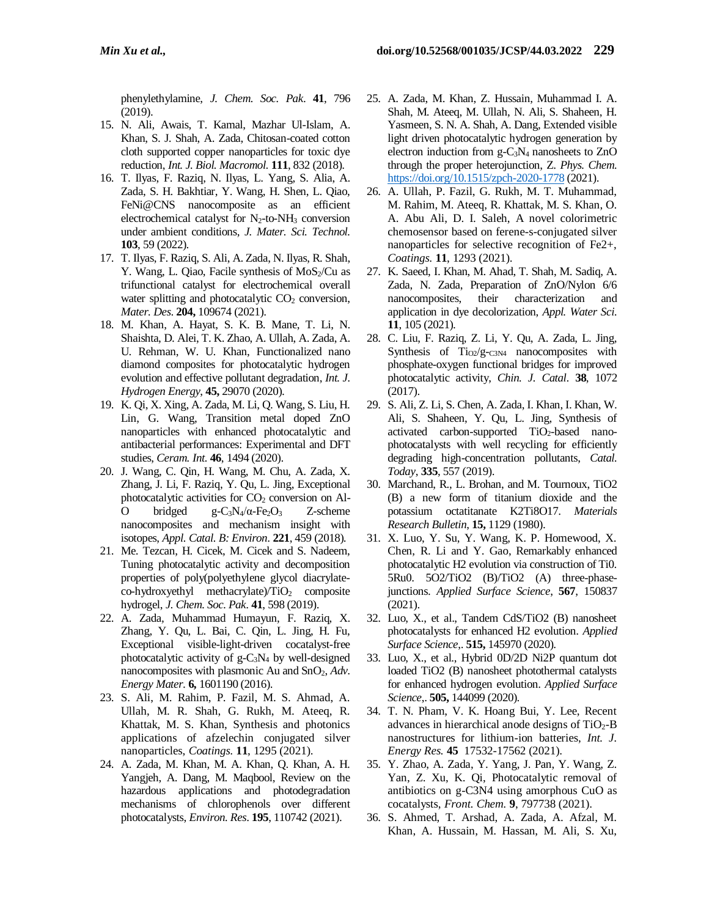phenylethylamine, *J. Chem. Soc. Pak*. **41**, 796 (2019).

- 15. N. Ali, Awais, T. Kamal, Mazhar Ul-Islam, A. Khan, S. J. Shah, A. Zada, Chitosan-coated cotton cloth supported copper nanoparticles for toxic dye reduction, *Int. J. Biol. Macromol*. **111**, 832 (2018).
- 16. T. Ilyas, F. Raziq, N. Ilyas, L. Yang, S. Alia, A. Zada, S. H. Bakhtiar, Y. Wang, H. Shen, L. Qiao, FeNi@CNS nanocomposite as an efficient electrochemical catalyst for  $N_2$ -to-NH<sub>3</sub> conversion under ambient conditions, *J. Mater. Sci. Technol.* **103**, 59 (2022).
- 17. T. Ilyas, F. Raziq, S. Ali, A. Zada, N. Ilyas, R. Shah, Y. Wang, L. Qiao, Facile synthesis of  $MoS<sub>2</sub>/Cu$  as trifunctional catalyst for electrochemical overall water splitting and photocatalytic  $CO<sub>2</sub>$  conversion, *Mater. Des*. **204,** 109674 (2021).
- 18. M. Khan, A. Hayat, S. K. B. Mane, T. Li, N. Shaishta, D. Alei, T. K. Zhao, A. Ullah, A. Zada, A. U. Rehman, W. U. Khan, Functionalized nano diamond composites for photocatalytic hydrogen evolution and effective pollutant degradation, *Int. J. Hydrogen Energy*, **45,** 29070 (2020).
- 19. K. Qi, X. Xing, A. Zada, M. Li, Q. Wang, S. Liu, H. Lin, G. Wang, Transition metal doped ZnO nanoparticles with enhanced photocatalytic and antibacterial performances: Experimental and DFT studies, *Ceram. Int.* **46**, 1494 (2020).
- 20. J. Wang, C. Qin, H. Wang, M. Chu, A. Zada, X. Zhang, J. Li, F. Raziq, Y. Qu, L. Jing, Exceptional photocatalytic activities for  $CO<sub>2</sub>$  conversion on Al-O bridged g-C<sub>3</sub>N<sub>4</sub>/α-Fe<sub>2</sub>O<sub>3</sub> Z-scheme nanocomposites and mechanism insight with isotopes, *Appl. Catal. B: Environ*. **221**, 459 (2018).
- 21. Me. Tezcan, H. Cicek, M. Cicek and S. Nadeem, Tuning photocatalytic activity and decomposition properties of poly(polyethylene glycol diacrylateco-hydroxyethyl methacrylate)/TiO<sub>2</sub> composite hydrogel, *J. Chem. Soc. Pak*. **41**, 598 (2019).
- 22. A. Zada*,* Muhammad Humayun, F. Raziq, X. Zhang, Y. Qu, L. Bai, C. Qin, L. Jing, H. Fu, Exceptional visible-light-driven cocatalyst-free photocatalytic activity of g-C3N<sup>4</sup> by well-designed nanocomposites with plasmonic Au and SnO<sub>2</sub>, *Adv*. *Energy Mater*. **6,** 1601190 (2016).
- 23. S. Ali, M. Rahim, P. Fazil, M. S. Ahmad, A. Ullah, M. R. Shah, G. Rukh, M. Ateeq, R. Khattak, M. S. Khan, Synthesis and photonics applications of afzelechin conjugated silver nanoparticles, *Coatings.* **11**, 1295 (2021).
- 24. A. Zada, M. Khan, M. A. Khan, Q. Khan, A. H. Yangjeh, A. Dang, M. Maqbool, Review on the hazardous applications and photodegradation mechanisms of chlorophenols over different photocatalysts, *Environ. Res*. **195**, 110742 (2021).
- 25. A. Zada, M. Khan, Z. Hussain, Muhammad I. A. Shah, M. Ateeq, M. Ullah, N. Ali, S. Shaheen, H. Yasmeen, S. N. A. Shah, A. Dang, Extended visible light driven photocatalytic hydrogen generation by electron induction from g-C3N<sup>4</sup> nanosheets to ZnO through the proper heterojunction, Z. *Phys. Chem.* <https://doi.org/10.1515/zpch-2020-1778> (2021).
- 26. A. Ullah, P. Fazil, G. Rukh, M. T. Muhammad, M. Rahim, M. Ateeq, R. Khattak, M. S. Khan, O. A. Abu Ali, D. I. Saleh, A novel colorimetric chemosensor based on ferene-s-conjugated silver nanoparticles for selective recognition of Fe2+, *Coatings.* **11**, 1293 (2021).
- 27. K. Saeed, I. Khan, M. Ahad, T. Shah, M. Sadiq, A. Zada, N. Zada, Preparation of ZnO/Nylon 6/6 nanocomposites, their characterization and application in dye decolorization, *Appl. Water Sci.* **11**, 105 (2021).
- 28. C. Liu, F. Raziq, Z. Li, Y. Qu, A. Zada, L. Jing, Synthesis of  $Ti_{02}/g_{\text{C3N4}}$  nanocomposites with phosphate-oxygen functional bridges for improved photocatalytic activity, *Chin. J. Catal*. **38**, 1072 (2017).
- 29. S. Ali, Z. Li, S. Chen, A. Zada, I. Khan, I. Khan, W. Ali, S. Shaheen, Y. Qu, L. Jing, Synthesis of activated carbon-supported TiO2-based nanophotocatalysts with well recycling for efficiently degrading high-concentration pollutants, *Catal. Today*, **335**, 557 (2019).
- 30. Marchand, R., L. Brohan, and M. Tournoux, TiO2 (B) a new form of titanium dioxide and the potassium octatitanate K2Ti8O17. *Materials Research Bulletin*, **15,** 1129 (1980).
- 31. X. Luo, Y. Su, Y. Wang, K. P. Homewood, X. Chen, R. Li and Y. Gao, Remarkably enhanced photocatalytic H2 evolution via construction of Ti0. 5Ru0. 5O2/TiO2 (B)/TiO2 (A) three-phasejunctions. *Applied Surface Science*, **567**, 150837 (2021).
- 32. Luo, X., et al., Tandem CdS/TiO2 (B) nanosheet photocatalysts for enhanced H2 evolution. *Applied Surface Science*,. **515,** 145970 (2020).
- 33. Luo, X., et al., Hybrid 0D/2D Ni2P quantum dot loaded TiO2 (B) nanosheet photothermal catalysts for enhanced hydrogen evolution. *Applied Surface Science*,. **505,** 144099 (2020).
- 34. T. N. Pham, V. K. Hoang Bui, Y. Lee, Recent advances in hierarchical anode designs of  $TiO<sub>2</sub>-B$ nanostructures for lithium-ion batteries, *Int. J. Energy Res.* **45** 17532-17562 (2021).
- 35. Y. Zhao, A. Zada, Y. Yang, J. Pan, Y. Wang, Z. Yan, Z. Xu, K. Qi, Photocatalytic removal of antibiotics on g-C3N4 using amorphous CuO as cocatalysts, *Front. Chem.* **9**, 797738 (2021).
- 36. S. Ahmed, T. Arshad, A. Zada, A. Afzal, M. Khan, A. Hussain, M. Hassan, M. Ali, S. Xu,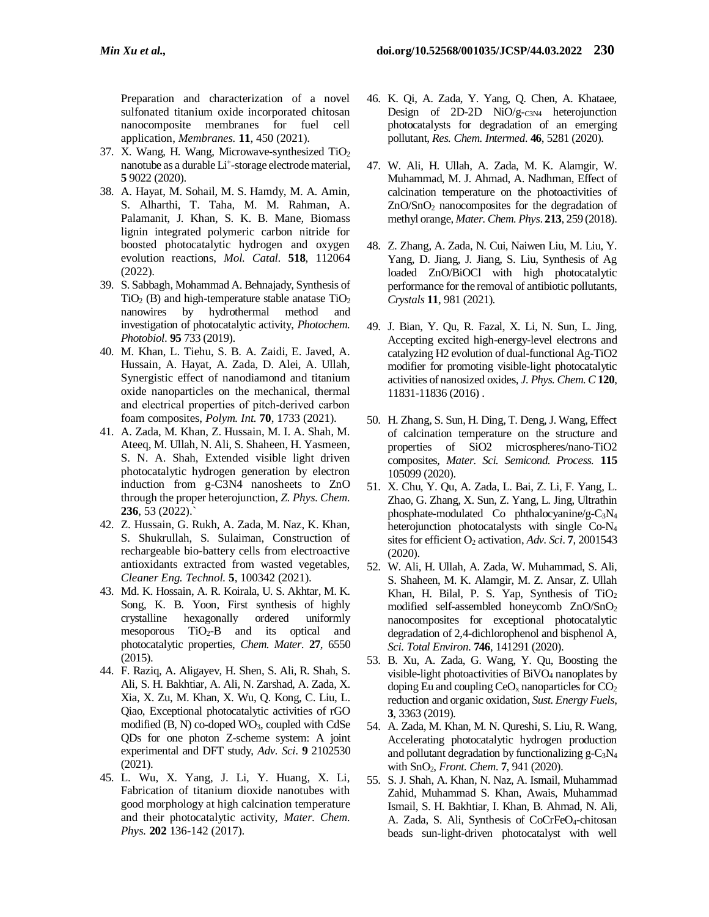Preparation and characterization of a novel sulfonated titanium oxide incorporated chitosan nanocomposite membranes for fuel cell application, *Membranes.* **11**, 450 (2021).

- 37. X. Wang, H. Wang, Microwave-synthesized TiO<sup>2</sup> nanotube as a durable Li<sup>+</sup>-storage electrode material, **5** 9022 (2020).
- 38. A. Hayat, M. Sohail, M. S. Hamdy, M. A. Amin, S. Alharthi, T. Taha, M. M. Rahman, A. Palamanit, J. Khan, S. K. B. Mane, Biomass lignin integrated polymeric carbon nitride for boosted photocatalytic hydrogen and oxygen evolution reactions, *Mol. Catal.* **518**, 112064 (2022).
- 39. S. Sabbagh, Mohammad A. Behnajady, Synthesis of  $TiO<sub>2</sub>$  (B) and high-temperature stable anatase  $TiO<sub>2</sub>$ nanowires by hydrothermal method and investigation of photocatalytic activity, *Photochem. Photobiol*. **95** 733 (2019).
- 40. M. Khan, L. Tiehu, S. B. A. Zaidi, E. Javed, A. Hussain, A. Hayat, A. Zada, D. Alei, A. Ullah, Synergistic effect of nanodiamond and titanium oxide nanoparticles on the mechanical, thermal and electrical properties of pitch‐derived carbon foam composites, *Polym. Int.* **70**, 1733 (2021).
- 41. A. Zada, M. Khan, Z. Hussain, M. I. A. Shah, M. Ateeq, M. Ullah, N. Ali, S. Shaheen, H. Yasmeen, S. N. A. Shah, Extended visible light driven photocatalytic hydrogen generation by electron induction from g-C3N4 nanosheets to ZnO through the proper heterojunction, *Z. Phys. Chem.* **236**, 53 (2022).`
- 42. Z. Hussain, G. Rukh, A. Zada, M. Naz, K. Khan, S. Shukrullah, S. Sulaiman, Construction of rechargeable bio-battery cells from electroactive antioxidants extracted from wasted vegetables, *Cleaner Eng. Technol.* **5**, 100342 (2021).
- 43. Md. K. Hossain, A. R. Koirala, U. S. Akhtar, M. K. Song, K. B. Yoon, First synthesis of highly crystalline hexagonally ordered uniformly mesoporous  $TiO<sub>2</sub>-B$  and its optical and photocatalytic properties, *Chem. Mater*. **27**, 6550 (2015).
- 44. F. Raziq, A. Aligayev, H. Shen, S. Ali, R. Shah, S. Ali, S. H. Bakhtiar, A. Ali, N. Zarshad, A. Zada, X. Xia, X. Zu, M. Khan, X. Wu, Q. Kong, C. Liu, L. Qiao, Exceptional photocatalytic activities of rGO modified  $(B, N)$  co-doped  $WO<sub>3</sub>$ , coupled with CdSe QDs for one photon Z-scheme system: A joint experimental and DFT study, *Adv. Sci*. **9** 2102530 (2021).
- 45. L. Wu, X. Yang, J. Li, Y. Huang, X. Li, Fabrication of titanium dioxide nanotubes with good morphology at high calcination temperature and their photocatalytic activity, *Mater. Chem. Phys.* **202** 136-142 (2017).
- 46. K. Qi, A. Zada, Y. Yang, Q. Chen, A. Khataee, Design of 2D-2D  $NiO/g$ - $_{C3N4}$  heterojunction photocatalysts for degradation of an emerging pollutant, *Res. Chem. Intermed*. **46**, 5281 (2020).
- 47. W. Ali, H. Ullah, A. Zada, M. K. Alamgir, W. Muhammad, M. J. Ahmad, A. Nadhman, Effect of calcination temperature on the photoactivities of ZnO/SnO<sup>2</sup> nanocomposites for the degradation of methyl orange, *Mater. Chem. Phys*. **213**, 259 (2018).
- 48. Z. Zhang, A. Zada, N. Cui, Naiwen Liu, M. Liu, Y. Yang, D. Jiang, J. Jiang, S. Liu, Synthesis of Ag loaded ZnO/BiOCl with high photocatalytic performance for the removal of antibiotic pollutants, *Crystals* **11**, 981 (2021).
- 49. J. Bian, Y. Qu, R. Fazal, X. Li, N. Sun, L. Jing, Accepting excited high-energy-level electrons and catalyzing H2 evolution of dual-functional Ag-TiO2 modifier for promoting visible-light photocatalytic activities of nanosized oxides, *J. Phys. Chem. C* **120**, 11831-11836 (2016) .
- 50. H. Zhang, S. Sun, H. Ding, T. Deng, J. Wang, Effect of calcination temperature on the structure and properties of SiO2 microspheres/nano-TiO2 composites, *Mater. Sci. Semicond. Process.* **115** 105099 (2020).
- 51. X. Chu, Y. Qu, A. Zada, L. Bai, Z. Li, F. Yang, L. Zhao, G. Zhang, X. Sun, Z. Yang, L. Jing, Ultrathin phosphate-modulated Co phthalocyanine/g-C<sub>3</sub>N<sub>4</sub> heterojunction photocatalysts with single Co-N<sup>4</sup> sites for efficient O<sup>2</sup> activation, *Adv. Sci*. **7**, 2001543 (2020).
- 52. W. Ali, H. Ullah, A. Zada, W. Muhammad, S. Ali, S. Shaheen, M. K. Alamgir, M. Z. Ansar, Z. Ullah Khan, H. Bilal, P. S. Yap, Synthesis of TiO<sup>2</sup> modified self-assembled honeycomb ZnO/SnO<sup>2</sup> nanocomposites for exceptional photocatalytic degradation of 2,4-dichlorophenol and bisphenol A, *Sci. Total Environ*. **746**, 141291 (2020).
- 53. B. Xu, A. Zada, G. Wang, Y. Qu, Boosting the visible-light photoactivities of BiVO<sup>4</sup> nanoplates by doping Eu and coupling  $CeO_x$  nanoparticles for  $CO_2$ reduction and organic oxidation, *Sust. Energy Fuels*, **3**, 3363 (2019).
- 54. A. Zada, M. Khan, M. N. Qureshi, S. Liu, R. Wang, Accelerating photocatalytic hydrogen production and pollutant degradation by functionalizing  $g - C_3N_4$ with SnO2, *Front. Chem*. **7**, 941 (2020).
- 55. S. J. Shah, A. Khan, N. Naz, A. Ismail, Muhammad Zahid, Muhammad S. Khan, Awais, Muhammad Ismail, S. H. Bakhtiar, I. Khan, B. Ahmad, N. Ali, A. Zada, S. Ali, Synthesis of CoCrFeO4-chitosan beads sun-light-driven photocatalyst with well